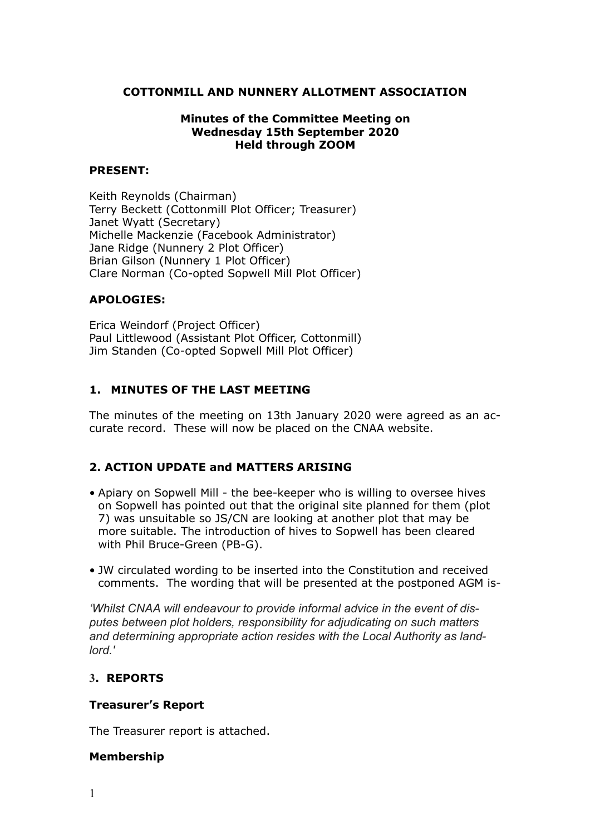#### **COTTONMILL AND NUNNERY ALLOTMENT ASSOCIATION**

#### **Minutes of the Committee Meeting on Wednesday 15th September 2020 Held through ZOOM**

#### **PRESENT:**

Keith Reynolds (Chairman) Terry Beckett (Cottonmill Plot Officer; Treasurer) Janet Wyatt (Secretary) Michelle Mackenzie (Facebook Administrator) Jane Ridge (Nunnery 2 Plot Officer) Brian Gilson (Nunnery 1 Plot Officer) Clare Norman (Co-opted Sopwell Mill Plot Officer)

#### **APOLOGIES:**

Erica Weindorf (Project Officer) Paul Littlewood (Assistant Plot Officer, Cottonmill) Jim Standen (Co-opted Sopwell Mill Plot Officer)

# **1. MINUTES OF THE LAST MEETING**

The minutes of the meeting on 13th January 2020 were agreed as an accurate record. These will now be placed on the CNAA website.

## **2. ACTION UPDATE and MATTERS ARISING**

- Apiary on Sopwell Mill the bee-keeper who is willing to oversee hives on Sopwell has pointed out that the original site planned for them (plot 7) was unsuitable so JS/CN are looking at another plot that may be more suitable. The introduction of hives to Sopwell has been cleared with Phil Bruce-Green (PB-G).
- JW circulated wording to be inserted into the Constitution and received comments. The wording that will be presented at the postponed AGM is-

*'Whilst CNAA will endeavour to provide informal advice in the event of disputes between plot holders, responsibility for adjudicating on such matters and determining appropriate action resides with the Local Authority as landlord.'* 

#### **3. REPORTS**

#### **Treasurer's Report**

The Treasurer report is attached.

#### **Membership**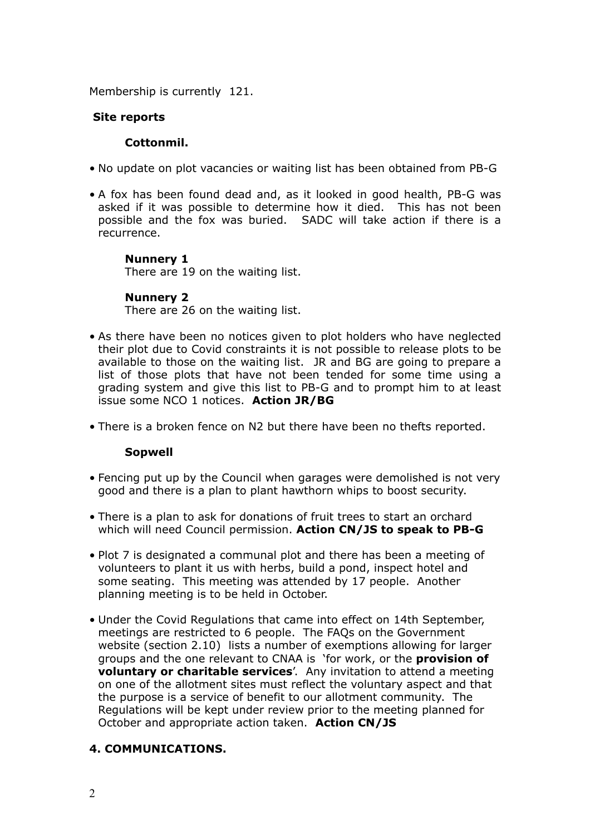Membership is currently 121.

#### **Site reports**

#### **Cottonmil.**

- No update on plot vacancies or waiting list has been obtained from PB-G
- A fox has been found dead and, as it looked in good health, PB-G was asked if it was possible to determine how it died. This has not been possible and the fox was buried. SADC will take action if there is a recurrence.

#### **Nunnery 1**

There are 19 on the waiting list.

#### **Nunnery 2**

There are 26 on the waiting list.

- As there have been no notices given to plot holders who have neglected their plot due to Covid constraints it is not possible to release plots to be available to those on the waiting list. JR and BG are going to prepare a list of those plots that have not been tended for some time using a grading system and give this list to PB-G and to prompt him to at least issue some NCO 1 notices. **Action JR/BG**
- There is a broken fence on N2 but there have been no thefts reported.

#### **Sopwell**

- Fencing put up by the Council when garages were demolished is not very good and there is a plan to plant hawthorn whips to boost security.
- There is a plan to ask for donations of fruit trees to start an orchard which will need Council permission. **Action CN/JS to speak to PB-G**
- Plot 7 is designated a communal plot and there has been a meeting of volunteers to plant it us with herbs, build a pond, inspect hotel and some seating. This meeting was attended by 17 people. Another planning meeting is to be held in October.
- Under the Covid Regulations that came into effect on 14th September, meetings are restricted to 6 people. The FAQs on the Government website (section 2.10) lists a number of exemptions allowing for larger groups and the one relevant to CNAA is 'for work, or the **provision of voluntary or charitable services**'. Any invitation to attend a meeting on one of the allotment sites must reflect the voluntary aspect and that the purpose is a service of benefit to our allotment community. The Regulations will be kept under review prior to the meeting planned for October and appropriate action taken. **Action CN/JS**

## **4. COMMUNICATIONS.**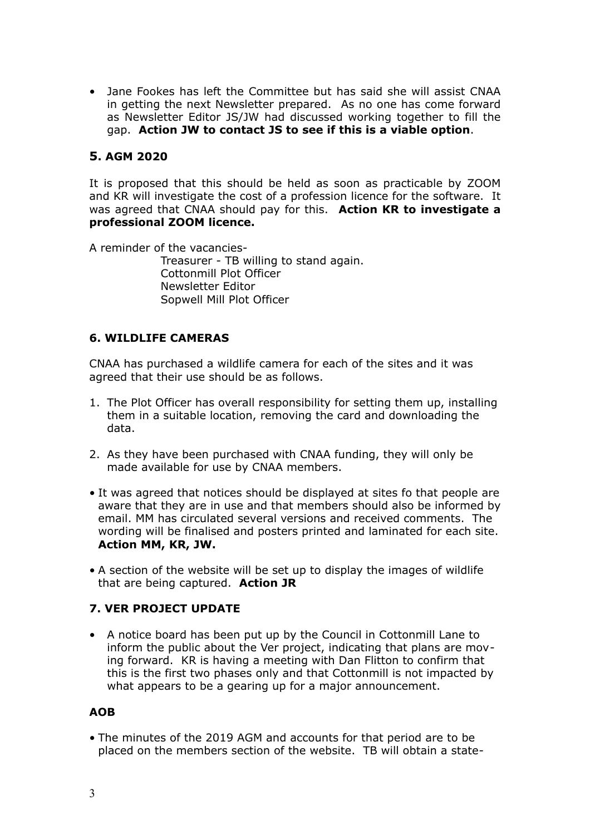• Jane Fookes has left the Committee but has said she will assist CNAA in getting the next Newsletter prepared. As no one has come forward as Newsletter Editor JS/JW had discussed working together to fill the gap. **Action JW to contact JS to see if this is a viable option**.

# **5. AGM 2020**

It is proposed that this should be held as soon as practicable by ZOOM and KR will investigate the cost of a profession licence for the software. It was agreed that CNAA should pay for this. **Action KR to investigate a professional ZOOM licence.** 

A reminder of the vacancies-Treasurer - TB willing to stand again. Cottonmill Plot Officer Newsletter Editor Sopwell Mill Plot Officer

## **6. WILDLIFE CAMERAS**

CNAA has purchased a wildlife camera for each of the sites and it was agreed that their use should be as follows.

- 1. The Plot Officer has overall responsibility for setting them up, installing them in a suitable location, removing the card and downloading the data.
- 2. As they have been purchased with CNAA funding, they will only be made available for use by CNAA members.
- It was agreed that notices should be displayed at sites fo that people are aware that they are in use and that members should also be informed by email. MM has circulated several versions and received comments. The wording will be finalised and posters printed and laminated for each site. **Action MM, KR, JW.**
- A section of the website will be set up to display the images of wildlife that are being captured. **Action JR**

## **7. VER PROJECT UPDATE**

• A notice board has been put up by the Council in Cottonmill Lane to inform the public about the Ver project, indicating that plans are moving forward. KR is having a meeting with Dan Flitton to confirm that this is the first two phases only and that Cottonmill is not impacted by what appears to be a gearing up for a major announcement.

# **AOB**

• The minutes of the 2019 AGM and accounts for that period are to be placed on the members section of the website. TB will obtain a state-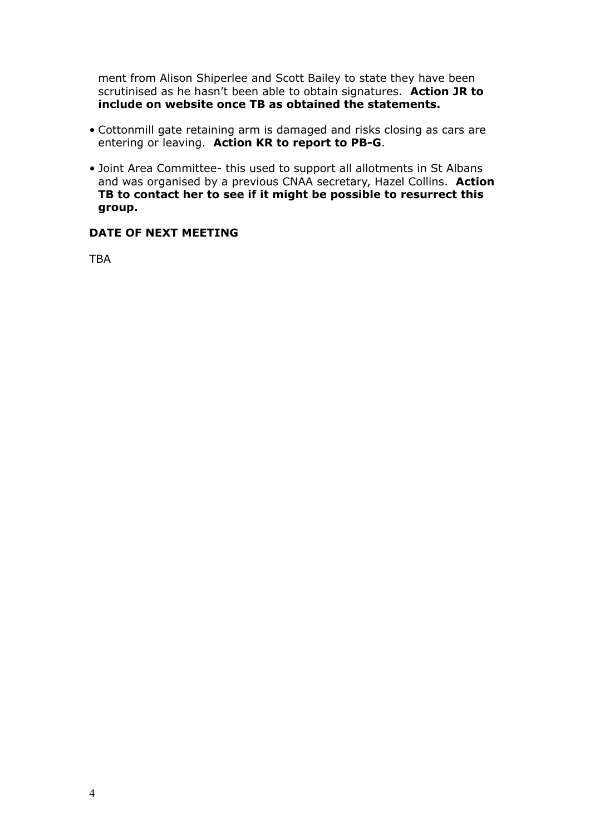ment from Alison Shiperlee and Scott Bailey to state they have been scrutinised as he hasn't been able to obtain signatures. **Action JR to include on website once TB as obtained the statements.** 

- Cottonmill gate retaining arm is damaged and risks closing as cars are entering or leaving. **Action KR to report to PB-G**.
- Joint Area Committee- this used to support all allotments in St Albans and was organised by a previous CNAA secretary, Hazel Collins. **Action TB to contact her to see if it might be possible to resurrect this group.**

#### **DATE OF NEXT MEETING**

**TRA**